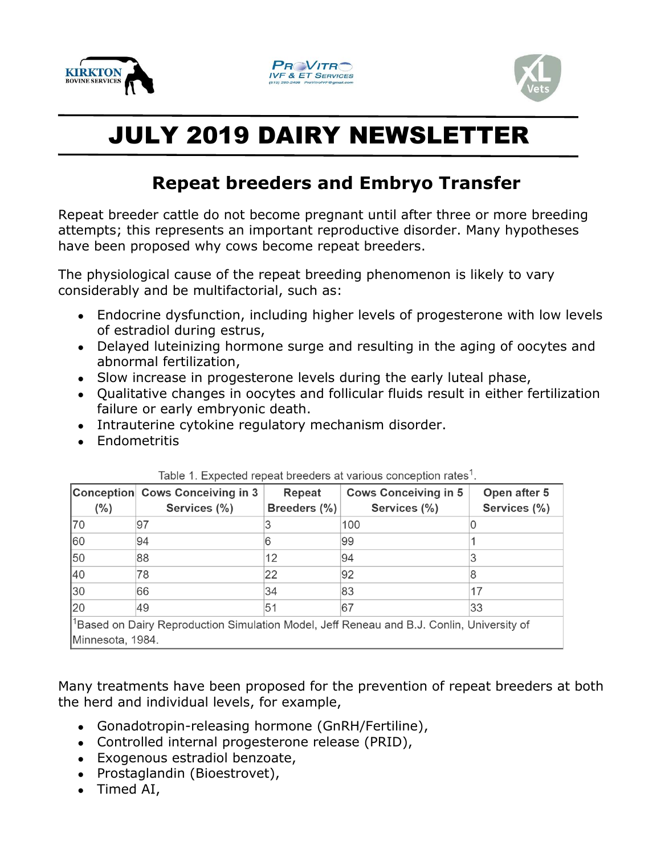





## JULY 2019 DAIRY NEWSLETTER

## **Repeat breeders and Embryo Transfer**

Repeat breeder cattle do not become pregnant until after three or more breeding attempts; this represents an important reproductive disorder. Many hypotheses have been proposed why cows become repeat breeders.

The physiological cause of the repeat breeding phenomenon is likely to vary considerably and be multifactorial, such as:

- Endocrine dysfunction, including higher levels of progesterone with low levels of estradiol during estrus,
- Delayed luteinizing hormone surge and resulting in the aging of oocytes and abnormal fertilization,
- Slow increase in progesterone levels during the early luteal phase,
- Qualitative changes in oocytes and follicular fluids result in either fertilization failure or early embryonic death.
- Intrauterine cytokine regulatory mechanism disorder.
- Endometritis

|                                                                                                | Conception Cows Conceiving in 3 | Repeat       | <b>Cows Conceiving in 5</b> | Open after 5 |
|------------------------------------------------------------------------------------------------|---------------------------------|--------------|-----------------------------|--------------|
| (%)                                                                                            | Services (%)                    | Breeders (%) | Services (%)                | Services (%) |
| 70                                                                                             | 197                             |              | 100                         |              |
| 60                                                                                             | 94                              |              | 99                          |              |
| 50                                                                                             | 88                              | 12           | 94                          |              |
| 40                                                                                             | 78                              | 22           | 92                          |              |
| $ 30\rangle$                                                                                   | 66                              | 34           | 83                          | 17           |
| 20                                                                                             | 49                              | 51           | 67                          | 33           |
| $ ^1$ Based on Dairy Reproduction Simulation Model, Jeff Reneau and B.J. Conlin, University of |                                 |              |                             |              |
| Minnesota, 1984.                                                                               |                                 |              |                             |              |

Table 1. Expected repeat breeders at various conception rates<sup>1</sup>.

Many treatments have been proposed for the prevention of repeat breeders at both the herd and individual levels, for example,

- Gonadotropin-releasing hormone (GnRH/Fertiline),
- Controlled internal progesterone release (PRID),
- Exogenous estradiol benzoate,
- Prostaglandin (Bioestrovet),
- Timed AI,